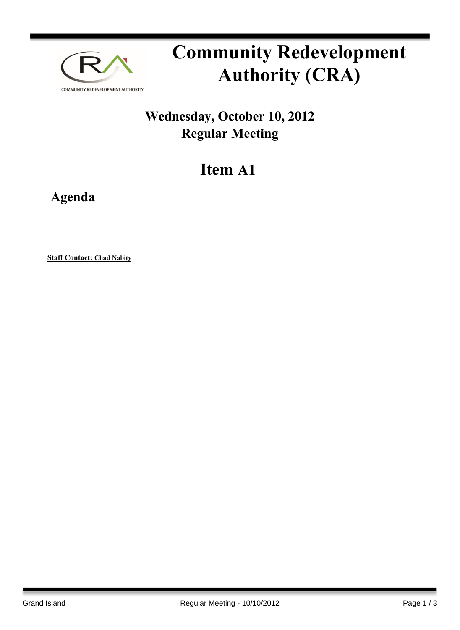

## **Community Redevelopment Authority (CRA)**

## **Wednesday, October 10, 2012 Regular Meeting**

## **Item A1**

**Agenda**

**Staff Contact: Chad Nabity**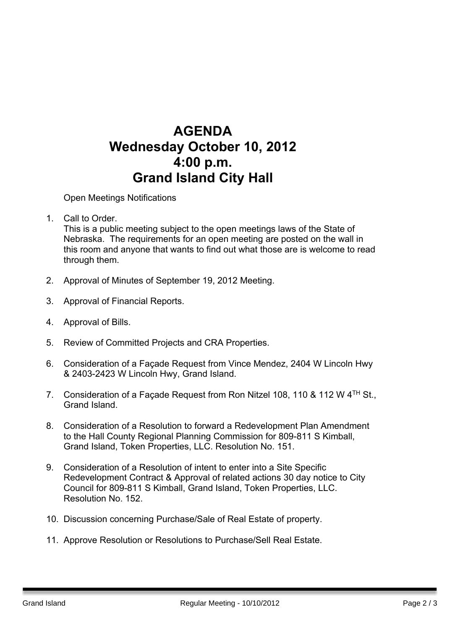## **AGENDA Wednesday October 10, 2012 4:00 p.m. Grand Island City Hall**

Open Meetings Notifications

1. Call to Order. Barry Sandstrom Call to Order.

This is a public meeting subject to the open meetings laws of the State of Nebraska. The requirements for an open meeting are posted on the wall in this room and anyone that wants to find out what those are is welcome to read through them.

- 2. Approval of Minutes of September 19, 2012 Meeting.
- 3. Approval of Financial Reports.
- 4. Approval of Bills.
- 5. Review of Committed Projects and CRA Properties.
- 6. Consideration of a Façade Request from Vince Mendez, 2404 W Lincoln Hwy & 2403-2423 W Lincoln Hwy, Grand Island.
- 7. Consideration of a Façade Request from Ron Nitzel 108, 110 & 112 W 4<sup>TH</sup> St., Grand Island.
- 8. Consideration of a Resolution to forward a Redevelopment Plan Amendment to the Hall County Regional Planning Commission for 809-811 S Kimball, Grand Island, Token Properties, LLC. Resolution No. 151.
- 9. Consideration of a Resolution of intent to enter into a Site Specific Redevelopment Contract & Approval of related actions 30 day notice to City Council for 809-811 S Kimball, Grand Island, Token Properties, LLC. Resolution No. 152.
- 10. Discussion concerning Purchase/Sale of Real Estate of property.
- 11. Approve Resolution or Resolutions to Purchase/Sell Real Estate.